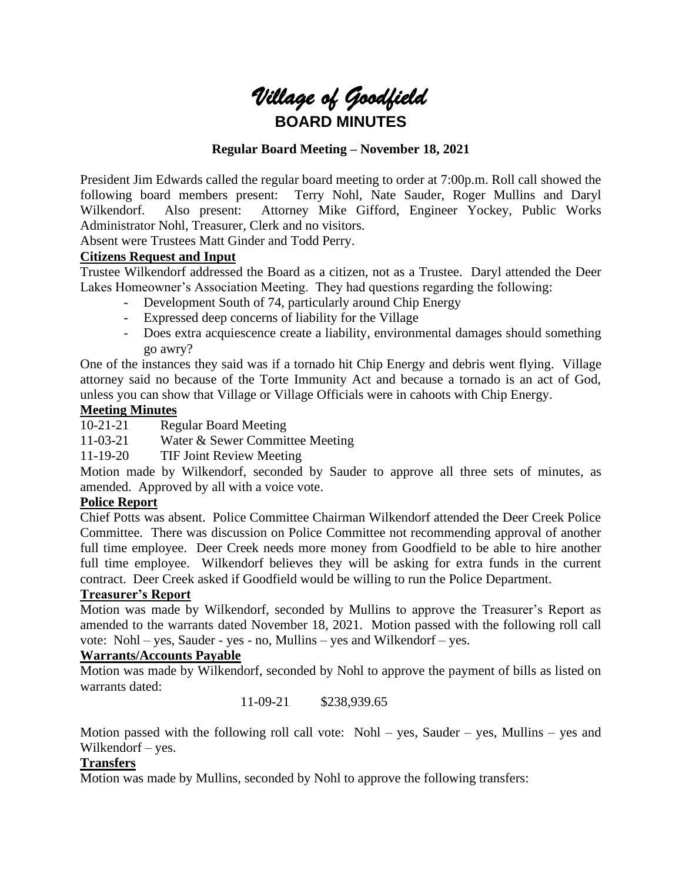

### **Regular Board Meeting – November 18, 2021**

President Jim Edwards called the regular board meeting to order at 7:00p.m. Roll call showed the following board members present: Terry Nohl, Nate Sauder, Roger Mullins and Daryl Wilkendorf. Also present: Attorney Mike Gifford, Engineer Yockey, Public Works Administrator Nohl, Treasurer, Clerk and no visitors.

Absent were Trustees Matt Ginder and Todd Perry.

#### **Citizens Request and Input**

Trustee Wilkendorf addressed the Board as a citizen, not as a Trustee. Daryl attended the Deer Lakes Homeowner's Association Meeting. They had questions regarding the following:

- Development South of 74, particularly around Chip Energy
- Expressed deep concerns of liability for the Village
- Does extra acquiescence create a liability, environmental damages should something go awry?

One of the instances they said was if a tornado hit Chip Energy and debris went flying. Village attorney said no because of the Torte Immunity Act and because a tornado is an act of God, unless you can show that Village or Village Officials were in cahoots with Chip Energy.

#### **Meeting Minutes**

10-21-21 Regular Board Meeting

11-03-21 Water & Sewer Committee Meeting

11-19-20 TIF Joint Review Meeting

Motion made by Wilkendorf, seconded by Sauder to approve all three sets of minutes, as amended. Approved by all with a voice vote.

## **Police Report**

Chief Potts was absent. Police Committee Chairman Wilkendorf attended the Deer Creek Police Committee. There was discussion on Police Committee not recommending approval of another full time employee. Deer Creek needs more money from Goodfield to be able to hire another full time employee. Wilkendorf believes they will be asking for extra funds in the current contract. Deer Creek asked if Goodfield would be willing to run the Police Department.

#### **Treasurer's Report**

Motion was made by Wilkendorf, seconded by Mullins to approve the Treasurer's Report as amended to the warrants dated November 18, 2021. Motion passed with the following roll call vote: Nohl – yes, Sauder - yes - no, Mullins – yes and Wilkendorf – yes.

#### **Warrants/Accounts Payable**

Motion was made by Wilkendorf, seconded by Nohl to approve the payment of bills as listed on warrants dated:

11-09-21 \$238,939.65

Motion passed with the following roll call vote: Nohl – yes, Sauder – yes, Mullins – yes and Wilkendorf – yes.

# **Transfers**

Motion was made by Mullins, seconded by Nohl to approve the following transfers: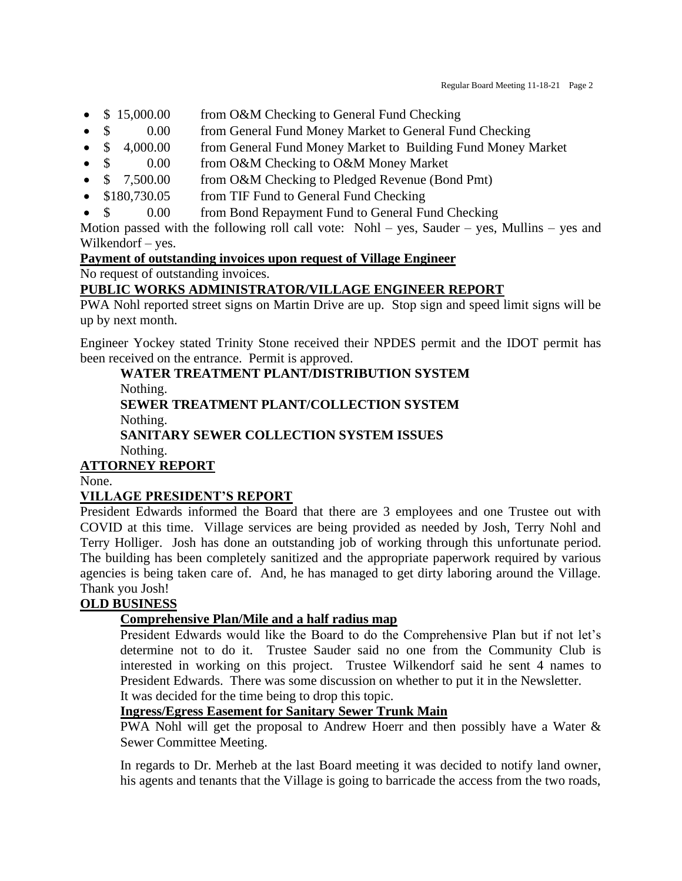- \$15,000.00 from O&M Checking to General Fund Checking
- \$ 0.00 from General Fund Money Market to General Fund Checking
- \$ 4,000.00 from General Fund Money Market to Building Fund Money Market
- \$ 0.00 from O&M Checking to O&M Money Market
- $\frac{1}{2}$  7,500.00 from O&M Checking to Pledged Revenue (Bond Pmt)
- \$180,730.05 from TIF Fund to General Fund Checking
- \$ 0.00 from Bond Repayment Fund to General Fund Checking

Motion passed with the following roll call vote: Nohl – yes, Sauder – yes, Mullins – yes and Wilkendorf – yes.

**Payment of outstanding invoices upon request of Village Engineer**

No request of outstanding invoices.

# **PUBLIC WORKS ADMINISTRATOR/VILLAGE ENGINEER REPORT**

PWA Nohl reported street signs on Martin Drive are up. Stop sign and speed limit signs will be up by next month.

Engineer Yockey stated Trinity Stone received their NPDES permit and the IDOT permit has been received on the entrance. Permit is approved.

**WATER TREATMENT PLANT/DISTRIBUTION SYSTEM** Nothing. **SEWER TREATMENT PLANT/COLLECTION SYSTEM** Nothing. **SANITARY SEWER COLLECTION SYSTEM ISSUES** Nothing.

# **ATTORNEY REPORT**

None.

# **VILLAGE PRESIDENT'S REPORT**

President Edwards informed the Board that there are 3 employees and one Trustee out with COVID at this time. Village services are being provided as needed by Josh, Terry Nohl and Terry Holliger. Josh has done an outstanding job of working through this unfortunate period. The building has been completely sanitized and the appropriate paperwork required by various agencies is being taken care of. And, he has managed to get dirty laboring around the Village. Thank you Josh!

## **OLD BUSINESS**

## **Comprehensive Plan/Mile and a half radius map**

President Edwards would like the Board to do the Comprehensive Plan but if not let's determine not to do it. Trustee Sauder said no one from the Community Club is interested in working on this project. Trustee Wilkendorf said he sent 4 names to President Edwards. There was some discussion on whether to put it in the Newsletter. It was decided for the time being to drop this topic.

# **Ingress/Egress Easement for Sanitary Sewer Trunk Main**

PWA Nohl will get the proposal to Andrew Hoerr and then possibly have a Water & Sewer Committee Meeting.

In regards to Dr. Merheb at the last Board meeting it was decided to notify land owner, his agents and tenants that the Village is going to barricade the access from the two roads,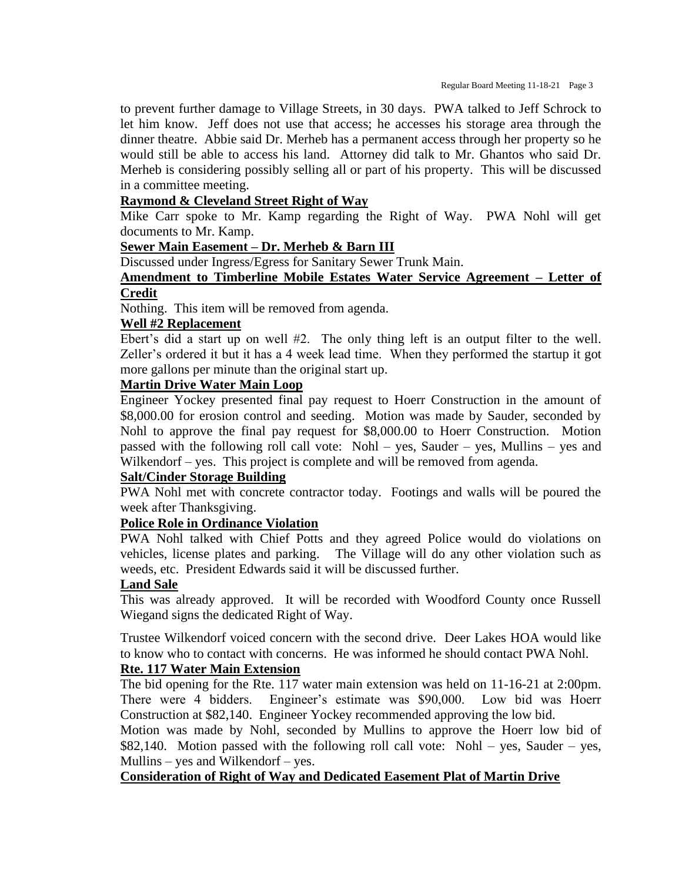to prevent further damage to Village Streets, in 30 days. PWA talked to Jeff Schrock to let him know. Jeff does not use that access; he accesses his storage area through the dinner theatre. Abbie said Dr. Merheb has a permanent access through her property so he would still be able to access his land. Attorney did talk to Mr. Ghantos who said Dr. Merheb is considering possibly selling all or part of his property. This will be discussed in a committee meeting.

#### **Raymond & Cleveland Street Right of Way**

Mike Carr spoke to Mr. Kamp regarding the Right of Way. PWA Nohl will get documents to Mr. Kamp.

#### **Sewer Main Easement – Dr. Merheb & Barn III**

Discussed under Ingress/Egress for Sanitary Sewer Trunk Main.

#### **Amendment to Timberline Mobile Estates Water Service Agreement – Letter of Credit**

Nothing. This item will be removed from agenda.

#### **Well #2 Replacement**

Ebert's did a start up on well #2. The only thing left is an output filter to the well. Zeller's ordered it but it has a 4 week lead time. When they performed the startup it got more gallons per minute than the original start up.

### **Martin Drive Water Main Loop**

Engineer Yockey presented final pay request to Hoerr Construction in the amount of \$8,000.00 for erosion control and seeding. Motion was made by Sauder, seconded by Nohl to approve the final pay request for \$8,000.00 to Hoerr Construction. Motion passed with the following roll call vote: Nohl – yes, Sauder – yes, Mullins – yes and Wilkendorf – yes. This project is complete and will be removed from agenda.

#### **Salt/Cinder Storage Building**

PWA Nohl met with concrete contractor today. Footings and walls will be poured the week after Thanksgiving.

#### **Police Role in Ordinance Violation**

PWA Nohl talked with Chief Potts and they agreed Police would do violations on vehicles, license plates and parking. The Village will do any other violation such as weeds, etc. President Edwards said it will be discussed further.

#### **Land Sale**

This was already approved. It will be recorded with Woodford County once Russell Wiegand signs the dedicated Right of Way.

Trustee Wilkendorf voiced concern with the second drive. Deer Lakes HOA would like to know who to contact with concerns. He was informed he should contact PWA Nohl.

#### **Rte. 117 Water Main Extension**

The bid opening for the Rte. 117 water main extension was held on 11-16-21 at 2:00pm. There were 4 bidders. Engineer's estimate was \$90,000. Low bid was Hoerr Construction at \$82,140. Engineer Yockey recommended approving the low bid.

Motion was made by Nohl, seconded by Mullins to approve the Hoerr low bid of \$82,140. Motion passed with the following roll call vote: Nohl – yes, Sauder – yes, Mullins – yes and Wilkendorf – yes.

#### **Consideration of Right of Way and Dedicated Easement Plat of Martin Drive**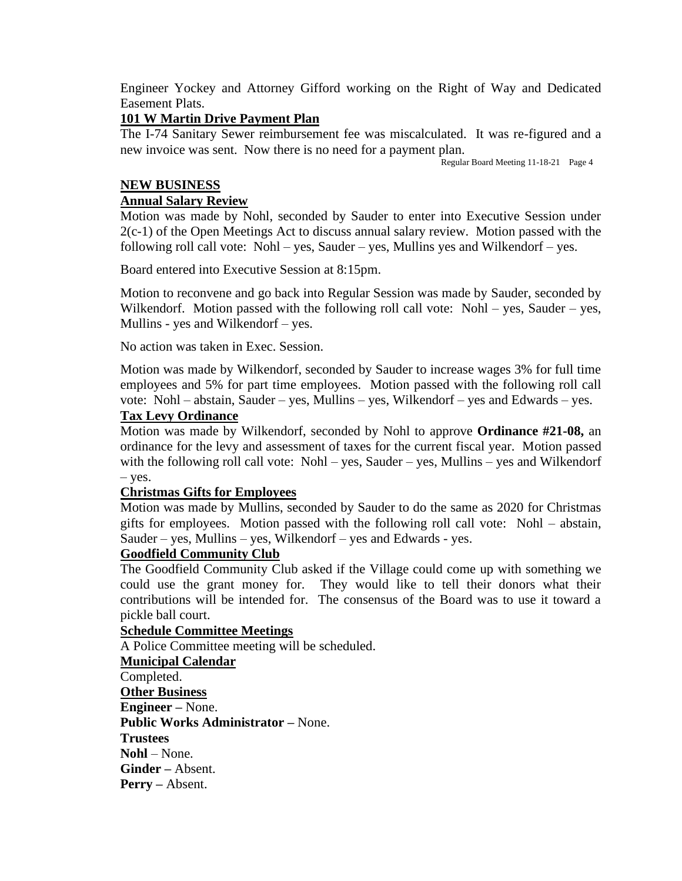Engineer Yockey and Attorney Gifford working on the Right of Way and Dedicated Easement Plats.

### **101 W Martin Drive Payment Plan**

The I-74 Sanitary Sewer reimbursement fee was miscalculated. It was re-figured and a new invoice was sent. Now there is no need for a payment plan.

Regular Board Meeting 11-18-21 Page 4

## **NEW BUSINESS**

### **Annual Salary Review**

Motion was made by Nohl, seconded by Sauder to enter into Executive Session under 2(c-1) of the Open Meetings Act to discuss annual salary review. Motion passed with the following roll call vote: Nohl – yes, Sauder – yes, Mullins yes and Wilkendorf – yes.

Board entered into Executive Session at 8:15pm.

Motion to reconvene and go back into Regular Session was made by Sauder, seconded by Wilkendorf. Motion passed with the following roll call vote: Nohl – yes, Sauder – yes, Mullins - yes and Wilkendorf – yes.

No action was taken in Exec. Session.

Motion was made by Wilkendorf, seconded by Sauder to increase wages 3% for full time employees and 5% for part time employees. Motion passed with the following roll call vote: Nohl – abstain, Sauder – yes, Mullins – yes, Wilkendorf – yes and Edwards – yes.

### **Tax Levy Ordinance**

Motion was made by Wilkendorf, seconded by Nohl to approve **Ordinance #21-08,** an ordinance for the levy and assessment of taxes for the current fiscal year. Motion passed with the following roll call vote: Nohl – yes, Sauder – yes, Mullins – yes and Wilkendorf – yes.

#### **Christmas Gifts for Employees**

Motion was made by Mullins, seconded by Sauder to do the same as 2020 for Christmas gifts for employees. Motion passed with the following roll call vote: Nohl – abstain, Sauder – yes, Mullins – yes, Wilkendorf – yes and Edwards - yes.

#### **Goodfield Community Club**

The Goodfield Community Club asked if the Village could come up with something we could use the grant money for. They would like to tell their donors what their contributions will be intended for. The consensus of the Board was to use it toward a pickle ball court.

#### **Schedule Committee Meetings**

A Police Committee meeting will be scheduled.

**Municipal Calendar** Completed. **Other Business Engineer –** None. **Public Works Administrator –** None. **Trustees Nohl** – None. **Ginder –** Absent. **Perry –** Absent.